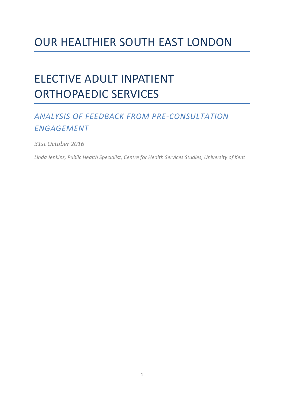# OUR HEALTHIER SOUTH EAST LONDON

# ELECTIVE ADULT INPATIENT ORTHOPAEDIC SERVICES

# *ANALYSIS OF FEEDBACK FROM PRE-CONSULTATION ENGAGEMENT*

*31st October 2016*

*Linda Jenkins, Public Health Specialist, Centre for Health Services Studies, University of Kent*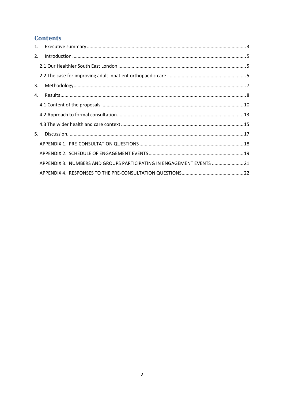# **Contents**

| $1_{\ldots}$ |                                                                       |  |
|--------------|-----------------------------------------------------------------------|--|
| 2.           |                                                                       |  |
|              |                                                                       |  |
|              |                                                                       |  |
| 3.           |                                                                       |  |
| 4.           |                                                                       |  |
|              |                                                                       |  |
|              |                                                                       |  |
|              |                                                                       |  |
| 5.           |                                                                       |  |
|              |                                                                       |  |
|              |                                                                       |  |
|              | APPENDIX 3. NUMBERS AND GROUPS PARTICIPATING IN ENGAGEMENT EVENTS  21 |  |
|              |                                                                       |  |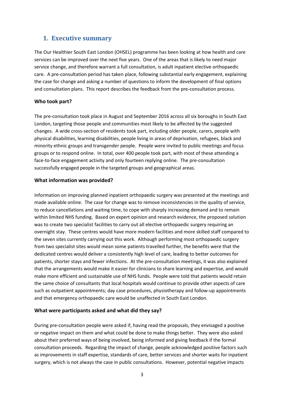# <span id="page-2-0"></span>**1. Executive summary**

The Our Healthier South East London (OHSEL) programme has been looking at how health and care services can be improved over the next five years. One of the areas that is likely to need major service change, and therefore warrant a full consultation, is adult inpatient elective orthopaedic care. A pre-consultation period has taken place, following substantial early engagement, explaining the case for change and asking a number of questions to inform the development of final options and consultation plans. This report describes the feedback from the pre-consultation process.

## **Who took part?**

The pre-consultation took place in August and September 2016 across all six boroughs in South East London, targeting those people and communities most likely to be affected by the suggested changes. A wide cross-section of residents took part, including older people, carers, people with physical disabilities, learning disabilities, people living in areas of deprivation, refugees, black and minority ethnic groups and transgender people. People were invited to public meetings and focus groups or to respond online. In total, over 400 people took part, with most of these attending a face-to-face engagement activity and only fourteen replying online. The pre-consultation successfully engaged people in the targeted groups and geographical areas.

## **What information was provided?**

Information on improving planned inpatient orthopaedic surgery was presented at the meetings and made available online. The case for change was to remove inconsistencies in the quality of service, to reduce cancellations and waiting time, to cope with sharply increasing demand and to remain within limited NHS funding. Based on expert opinion and research evidence, the proposed solution was to create two specialist facilities to carry out all elective orthopaedic surgery requiring an overnight stay. These centres would have more modern facilities and more skilled staff compared to the seven sites currently carrying out this work. Although performing most orthopaedic surgery from two specialist sites would mean some patients travelled further, the benefits were that the dedicated centres would deliver a consistently high level of care, leading to better outcomes for patients, shorter stays and fewer infections. At the pre-consultation meetings, it was also explained that the arrangements would make it easier for clinicians to share learning and expertise, and would make more efficient and sustainable use of NHS funds. People were told that patients would retain the same choice of consultants that local hospitals would continue to provide other aspects of care such as outpatient appointments; day case procedures, physiotherapy and follow-up appointments and that emergency orthopaedic care would be unaffected in South East London.

## **What were participants asked and what did they say?**

During pre-consultation people were asked if, having read the proposals, they envisaged a positive or negative impact on them and what could be done to make things better. They were also asked about their preferred ways of being involved, being informed and giving feedback if the formal consultation proceeds. Regarding the impact of change, people acknowledged positive factors such as improvements in staff expertise, standards of care, better services and shorter waits for inpatient surgery, which is not always the case in public consultations. However, potential negative impacts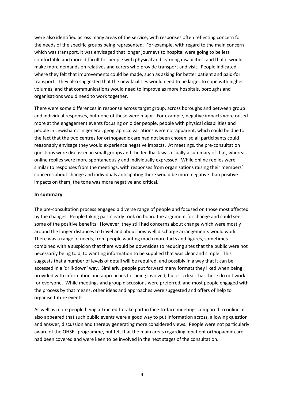were also identified across many areas of the service, with responses often reflecting concern for the needs of the specific groups being represented. For example, with regard to the main concern which was transport, it was envisaged that longer journeys to hospital were going to be less comfortable and more difficult for people with physical and learning disabilities, and that it would make more demands on relatives and carers who provide transport and visit. People indicated where they felt that improvements could be made, such as asking for better patient and paid-for transport. They also suggested that the new facilities would need to be larger to cope with higher volumes, and that communications would need to improve as more hospitals, boroughs and organisations would need to work together.

There were some differences in response across target group, across boroughs and between group and individual responses, but none of these were major. For example, negative impacts were raised more at the engagement events focusing on older people, people with physical disabilities and people in Lewisham. In general, geographical variations were not apparent, which could be due to the fact that the two centres for orthopaedic care had not been chosen, so all participants could reasonably envisage they would experience negative impacts. At meetings, the pre-consultation questions were discussed in small groups and the feedback was usually a summary of that, whereas online replies were more spontaneously and individually expressed. While online replies were similar to responses from the meetings, with responses from organisations raising their members' concerns about change and individuals anticipating there would be more negative than positive impacts on them, the tone was more negative and critical.

#### **In summary**

The pre-consultation process engaged a diverse range of people and focused on those most affected by the changes. People taking part clearly took on board the argument for change and could see some of the positive benefits. However, they still had concerns about change which were mostly around the longer distances to travel and about how well discharge arrangements would work. There was a range of needs, from people wanting much more facts and figures, sometimes combined with a suspicion that there would be downsides to reducing sites that the public were not necessarily being told, to wanting information to be supplied that was clear and simple. This suggests that a number of levels of detail will be required, and possibly in a way that it can be accessed in a 'drill-down' way. Similarly, people put forward many formats they liked when being provided with information and approaches for being involved, but it is clear that these do not work for everyone. While meetings and group discussions were preferred, and most people engaged with the process by that means, other ideas and approaches were suggested and offers of help to organise future events.

As well as more people being attracted to take part in face-to-face meetings compared to online, it also appeared that such public events were a good way to put information across, allowing question and answer, discussion and thereby generating more considered views. People were not particularly aware of the OHSEL programme, but felt that the main areas regarding inpatient orthopaedic care had been covered and were keen to be involved in the next stages of the consultation.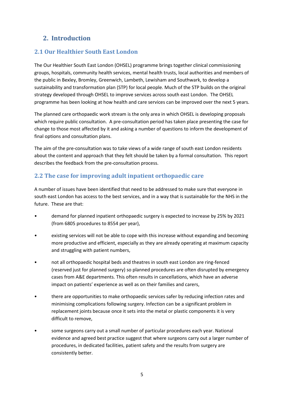# <span id="page-4-0"></span>**2. Introduction**

# <span id="page-4-1"></span>**2.1 Our Healthier South East London**

The Our Healthier South East London (OHSEL) programme brings together clinical commissioning groups, hospitals, community health services, mental health trusts, local authorities and members of the public in Bexley, Bromley, Greenwich, Lambeth, Lewisham and Southwark, to develop a sustainability and transformation plan (STP) for local people. Much of the STP builds on the original strategy developed through OHSEL to improve services across south east London. The OHSEL programme has been looking at how health and care services can be improved over the next 5 years.

The planned care orthopaedic work stream is the only area in which OHSEL is developing proposals which require public consultation. A pre-consultation period has taken place presenting the case for change to those most affected by it and asking a number of questions to inform the development of final options and consultation plans.

The aim of the pre-consultation was to take views of a wide range of south east London residents about the content and approach that they felt should be taken by a formal consultation. This report describes the feedback from the pre-consultation process.

# <span id="page-4-2"></span>**2.2 The case for improving adult inpatient orthopaedic care**

A number of issues have been identified that need to be addressed to make sure that everyone in south east London has access to the best services, and in a way that is sustainable for the NHS in the future. These are that:

- demand for planned inpatient orthopaedic surgery is expected to increase by 25% by 2021 (from 6805 procedures to 8554 per year),
- existing services will not be able to cope with this increase without expanding and becoming more productive and efficient, especially as they are already operating at maximum capacity and struggling with patient numbers,
- not all orthopaedic hospital beds and theatres in south east London are ring-fenced (reserved just for planned surgery) so planned procedures are often disrupted by emergency cases from A&E departments. This often results in cancellations, which have an adverse impact on patients' experience as well as on their families and carers,
- there are opportunities to make orthopaedic services safer by reducing infection rates and minimising complications following surgery. Infection can be a significant problem in replacement joints because once it sets into the metal or plastic components it is very difficult to remove,
- some surgeons carry out a small number of particular procedures each year. National evidence and agreed best practice suggest that where surgeons carry out a larger number of procedures, in dedicated facilities, patient safety and the results from surgery are consistently better.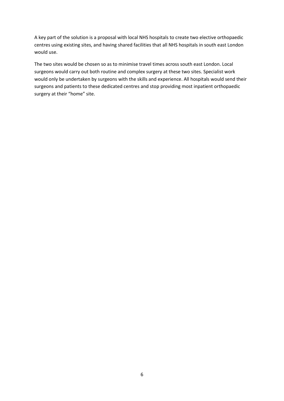A key part of the solution is a proposal with local NHS hospitals to create two elective orthopaedic centres using existing sites, and having shared facilities that all NHS hospitals in south east London would use.

The two sites would be chosen so as to minimise travel times across south east London. Local surgeons would carry out both routine and complex surgery at these two sites. Specialist work would only be undertaken by surgeons with the skills and experience. All hospitals would send their surgeons and patients to these dedicated centres and stop providing most inpatient orthopaedic surgery at their "home" site.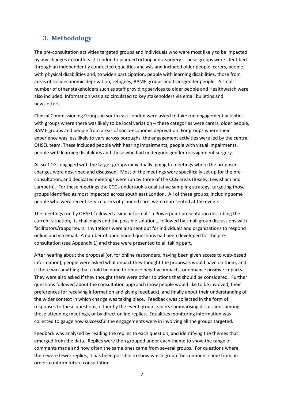# <span id="page-6-0"></span>**3. Methodology**

The pre-consultation activities targeted groups and individuals who were most likely to be impacted by any changes in south east London to planned orthopaedic surgery. These groups were identified through an independently conducted equalities analysis and included older people, carers, people with physical disabilities and, to widen participation, people with learning disabilities, those from areas of socioeconomic deprivation, refugees, BAME groups and transgender people. A small number of other stakeholders such as staff providing services to older people and Healthwatch were also included. Information was also circulated to key stakeholders via email bulletins and newsletters.

Clinical Commissioning Groups in south east London were asked to take run engagement activities with groups where there was likely to be local variation – these categories were carers, older people, BAME groups and people from areas of socio-economic deprivation. For groups where their experience was less likely to vary across boroughs, the engagement activities were led by the central OHSEL team. These included people with hearing impairments, people with visual impairments, people with learning disabilities and those who had undergone gender reassignment surgery.

All six CCGs engaged with the target groups individually, going to meetings where the proposed changes were described and discussed. Most of the meetings were specifically set up for the preconsultation, and dedicated meetings were run by three of the CCG areas (Bexley, Lewisham and Lambeth). For these meetings the CCGs undertook a qualitative sampling strategy–targeting those groups identified as most impacted across south east London. All of these groups, including some people who were recent service users of planned care, were represented at the events.

The meetings run by OHSEL followed a similar format - a Powerpoint presentation describing the current situation, its challenges and the possible solutions, followed by small group discussions with facilitators/rapporteurs. Invitations were also sent out for individuals and organisations to respond online and via email. A number of open ended questions had been developed for the preconsultation (see Appendix 1) and these were presented to all taking part.

After hearing about the proposal (or, for online responders, having been given access to web-based information), people were asked what impact they thought the proposals would have on them, and if there was anything that could be done to reduce negative impacts, or enhance positive impacts. They were also asked if they thought there were other solutions that should be considered. Further questions followed about the consultation approach (how people would like to be involved, their preferences for receiving information and giving feedback), and finally about their understanding of the wider context in which change was taking place. Feedback was collected in the form of responses to these questions, either by the event group leaders summarising discussions among those attending meetings, or by direct online replies. Equalities monitoring information was collected to gauge how successful the engagements were in involving all the groups targeted.

Feedback was analysed by reading the replies to each question, and identifying the themes that emerged from the data. Replies were then grouped under each theme to show the range of comments made and how often the same ones came from several groups. For questions where there were fewer replies, it has been possible to show which group the comment came from, in order to inform future consultation.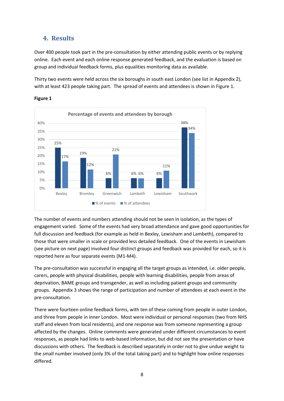# <span id="page-7-0"></span>**4. Results**

Over 400 people took part in the pre-consultation by either attending public events or by replying online. Each event and each online response generated feedback, and the evaluation is based on group and individual feedback forms, plus equalities monitoring data as available.

Thirty two events were held across the six boroughs in south east London (see list in Appendix 2), with at least 423 people taking part. The spread of events and attendees is shown in Figure 1.



**Figure 1**

The number of events and numbers attending should not be seen in isolation, as the types of engagement varied. Some of the events had very broad attendance and gave good opportunities for full discussion and feedback (for example as held in Bexley, Lewisham and Lambeth), compared to those that were smaller in scale or provided less detailed feedback. One of the events in Lewisham (see picture on next page) involved four distinct groups and feedback was provided for each, so it is reported here as four separate events (M1-M4).

The pre-consultation was successful in engaging all the target groups as intended, i.e. older people, carers, people with physical disabilities, people with learning disabilities, people from areas of deprivation, BAME groups and transgender, as well as including patient groups and community groups. Appendix 3 shows the range of participation and number of attendees at each event in the pre-consultation.

There were fourteen online feedback forms, with ten of these coming from people in outer London, and three from people in inner London. Most were individual or personal responses (two from NHS staff and eleven from local residents), and one response was from someone representing a group affected by the changes. Online comments were generated under different circumstances to event responses, as people had links to web-based information, but did not see the presentation or have discussions with others. The feedback is described separately in order not to give undue weight to the small number involved (only 3% of the total taking part) and to highlight how online responses differed.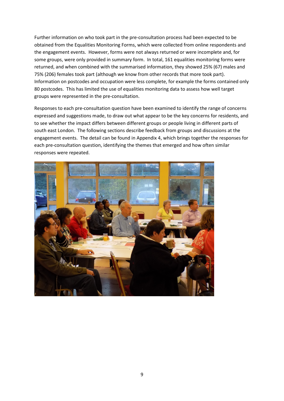Further information on who took part in the pre-consultation process had been expected to be obtained from the Equalities Monitoring Forms, which were collected from online respondents and the engagement events. However, forms were not always returned or were incomplete and, for some groups, were only provided in summary form. In total, 161 equalities monitoring forms were returned, and when combined with the summarised information, they showed 25% (67) males and 75% (206) females took part (although we know from other records that more took part). Information on postcodes and occupation were less complete, for example the forms contained only 80 postcodes. This has limited the use of equalities monitoring data to assess how well target groups were represented in the pre-consultation.

Responses to each pre-consultation question have been examined to identify the range of concerns expressed and suggestions made, to draw out what appear to be the key concerns for residents, and to see whether the impact differs between different groups or people living in different parts of south east London. The following sections describe feedback from groups and discussions at the engagement events. The detail can be found in Appendix 4, which brings together the responses for each pre-consultation question, identifying the themes that emerged and how often similar responses were repeated.

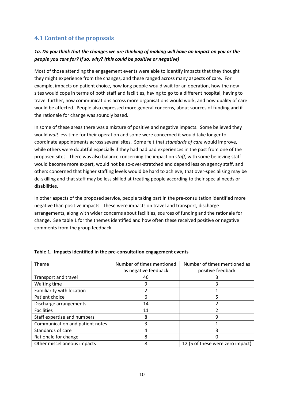# <span id="page-9-0"></span>**4.1 Content of the proposals**

## *1a. Do you think that the changes we are thinking of making will have an impact on you or the people you care for? If so, why? (this could be positive or negative)*

Most of those attending the engagement events were able to identify impacts that they thought they might experience from the changes, and these ranged across many aspects of care. For example, impacts on patient choice, how long people would wait for an operation, how the new sites would cope in terms of both staff and facilities, having to go to a different hospital, having to travel further, how communications across more organisations would work, and how quality of care would be affected. People also expressed more general concerns, about sources of funding and if the rationale for change was soundly based.

In some of these areas there was a mixture of positive and negative impacts. Some believed they would *wait* less time for their operation and some were concerned it would take longer to coordinate appointments across several sites. Some felt that *standards of care* would improve, while others were doubtful especially if they had had bad experiences in the past from one of the proposed sites. There was also balance concerning the impact on *staff*, with some believing staff would become more expert, would not be so-over-stretched and depend less on agency staff, and others concerned that higher staffing levels would be hard to achieve, that over-specialising may be de-skilling and that staff may be less skilled at treating people according to their special needs or disabilities.

In other aspects of the proposed service, people taking part in the pre-consultation identified more negative than positive impacts. These were impacts on travel and transport, discharge arrangements, along with wider concerns about facilities, sources of funding and the rationale for change. See table 1 for the themes identified and how often these received positive or negative comments from the group feedback.

| Theme                           | Number of times mentioned<br>as negative feedback | Number of times mentioned as<br>positive feedback |
|---------------------------------|---------------------------------------------------|---------------------------------------------------|
|                                 |                                                   |                                                   |
| Transport and travel            | 46                                                |                                                   |
| Waiting time                    | 9                                                 |                                                   |
| Familiarity with location       |                                                   |                                                   |
| Patient choice                  | 6                                                 |                                                   |
| Discharge arrangements          | 14                                                |                                                   |
| <b>Facilities</b>               | 11                                                |                                                   |
| Staff expertise and numbers     | 8                                                 | 9                                                 |
| Communication and patient notes | 3                                                 |                                                   |
| Standards of care               | 4                                                 |                                                   |
| Rationale for change            | 8                                                 |                                                   |
| Other miscellaneous impacts     | 8                                                 | 12 (5 of these were zero impact)                  |

#### **Table 1. Impacts identified in the pre-consultation engagement events**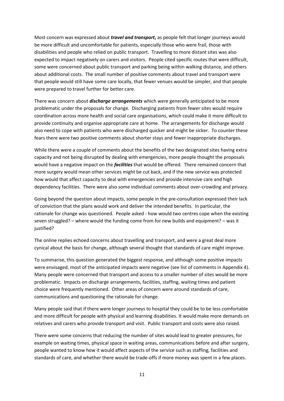Most concern was expressed about *travel and transport***,** as people felt that longer journeys would be more difficult and uncomfortable for patients, especially those who were frail, those with disabilities and people who relied on public transport. Travelling to more distant sites was also expected to impact negatively on carers and visitors. People cited specific routes that were difficult, some were concerned about public transport and parking being within walking distance, and others about additional costs. The small number of positive comments about travel and transport were that people would still have some care locally, that fewer venues would be simpler, and that people were prepared to travel further for better care.

There was concern about *discharge arrangements* which were generally anticipated to be more problematic under the proposals for change. Discharging patients from fewer sites would require coordination across more health and social care organisations, which could make it more difficult to provide continuity and organise appropriate care at home. The arrangements for discharge would also need to cope with patients who were discharged quicker and might be sicker. To counter these fears there were two positive comments about shorter stays and fewer inappropriate discharges.

While there were a couple of comments about the benefits of the two designated sites having extra capacity and not being disrupted by dealing with emergencies, more people thought the proposals would have a negative impact on the *facilities* that would be offered. There remained concern that more surgery would mean other services might be cut back, and if the new service was protected how would that affect capacity to deal with emergencies and provide intensive care and high dependency facilities. There were also some individual comments about over-crowding and privacy.

Going beyond the question about impacts, some people in the pre-consultation expressed their lack of conviction that the plans would work and deliver the intended benefits. In particular, the rationale for change was questioned. People asked - how would two centres cope when the existing seven struggled? – where would the funding come from for new builds and equipment? – was it justified?

The online replies echoed concerns about travelling and transport, and were a great deal more cynical about the basis for change, although several thought that standards of care might improve.

To summarise, this question generated the biggest response, and although some positive impacts were envisaged, most of the anticipated impacts were negative (see list of comments in Appendix 4). Many people were concerned that transport and access to a smaller number of sites would be more problematic. Impacts on discharge arrangements, facilities, staffing, waiting times and patient choice were frequently mentioned. Other areas of concern were around standards of care, communications and questioning the rationale for change.

Many people said that if there were longer journeys to hospital they could be to be less comfortable and more difficult for people with physical and learning disabilities. It would make more demands on relatives and carers who provide transport and visit. Public transport and costs were also raised.

There were some concerns that reducing the number of sites would lead to greater pressures, for example on waiting times, physical space in waiting areas, communications before and after surgery, people wanted to know how it would affect aspects of the service such as staffing, facilities and standards of care, and whether there would be trade-offs if more money was spent in a few places.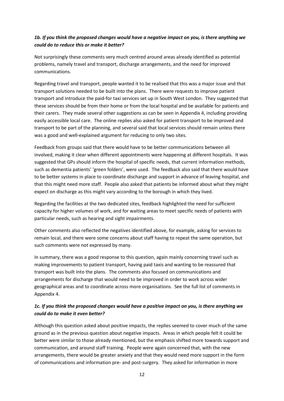## *1b. If you think the proposed changes would have a negative impact on you, is there anything we could do to reduce this or make it better?*

Not surprisingly these comments very much centred around areas already identified as potential problems, namely travel and transport, discharge arrangements, and the need for improved communications.

Regarding travel and transport, people wanted it to be realised that this was a major issue and that transport solutions needed to be built into the plans. There were requests to improve patient transport and introduce the paid-for taxi services set up in South West London. They suggested that these services should be from their home or from the local hospital and be available for patients and their carers. They made several other suggestions as can be seen in Appendix 4, including providing easily accessible local care. The online replies also asked for patient transport to be improved and transport to be part of the planning, and several said that local services should remain unless there was a good and well-explained argument for reducing to only two sites.

Feedback from groups said that there would have to be better communications between all involved, making it clear when different appointments were happening at different hospitals. It was suggested that GPs should inform the hospital of specific needs, that current information methods, such as dementia patients' 'green folders', were used. The feedback also said that there would have to be better systems in place to coordinate discharge and support in advance of leaving hospital, and that this might need more staff. People also asked that patients be informed about what they might expect on discharge as this might vary according to the borough in which they lived.

Regarding the facilities at the two dedicated sites, feedback highlighted the need for sufficient capacity for higher volumes of work, and for waiting areas to meet specific needs of patients with particular needs, such as hearing and sight impairments.

Other comments also reflected the negatives identified above, for example, asking for services to remain local, and there were some concerns about staff having to repeat the same operation, but such comments were not expressed by many.

In summary, there was a good response to this question, again mainly concerning travel such as making improvements to patient transport, having paid taxis and wanting to be reassured that transport was built into the plans. The comments also focused on communications and arrangements for discharge that would need to be improved in order to work across wider geographical areas and to coordinate across more organisations. See the full list of comments in Appendix 4.

## *1c. If you think the proposed changes would have a positive impact on you, is there anything we could do to make it even better?*

Although this question asked about positive impacts, the replies seemed to cover much of the same ground as in the previous question about negative impacts. Areas in which people felt it could be better were similar to those already mentioned, but the emphasis shifted more towards support and communication, and around staff training. People were again concerned that, with the new arrangements, there would be greater anxiety and that they would need more support in the form of communications and information pre- and post-surgery. They asked for information in more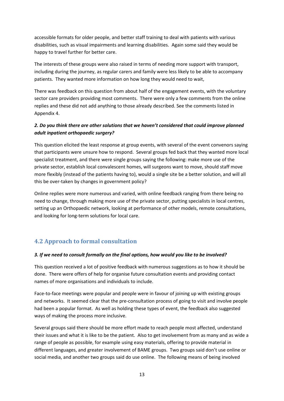accessible formats for older people, and better staff training to deal with patients with various disabilities, such as visual impairments and learning disabilities. Again some said they would be happy to travel further for better care.

The interests of these groups were also raised in terms of needing more support with transport, including during the journey, as regular carers and family were less likely to be able to accompany patients. They wanted more information on how long they would need to wait,

There was feedback on this question from about half of the engagement events, with the voluntary sector care providers providing most comments. There were only a few comments from the online replies and these did not add anything to those already described. See the comments listed in Appendix 4.

## *2. Do you think there are other solutions that we haven't considered that could improve planned adult inpatient orthopaedic surgery?*

This question elicited the least response at group events, with several of the event convenors saying that participants were unsure how to respond. Several groups fed back that they wanted more local specialist treatment, and there were single groups saying the following: make more use of the private sector, establish local convalescent homes, will surgeons want to move, should staff move more flexibly (instead of the patients having to), would a single site be a better solution, and will all this be over-taken by changes in government policy?

Online replies were more numerous and varied, with online feedback ranging from there being no need to change, through making more use of the private sector, putting specialists in local centres, setting up an Orthopaedic network, looking at performance of other models, remote consultations, and looking for long-term solutions for local care.

# <span id="page-12-0"></span>**4.2 Approach to formal consultation**

## *3. If we need to consult formally on the final options, how would you like to be involved?*

This question received a lot of positive feedback with numerous suggestions as to how it should be done. There were offers of help for organise future consultation events and providing contact names of more organisations and individuals to include.

Face-to-face meetings were popular and people were in favour of joining up with existing groups and networks. It seemed clear that the pre-consultation process of going to visit and involve people had been a popular format. As well as holding these types of event, the feedback also suggested ways of making the process more inclusive.

Several groups said there should be more effort made to reach people most affected, understand their issues and what it is like to be the patient. Also to get involvement from as many and as wide a range of people as possible, for example using easy materials, offering to provide material in different languages, and greater involvement of BAME groups. Two groups said don't use online or social media, and another two groups said do use online. The following means of being involved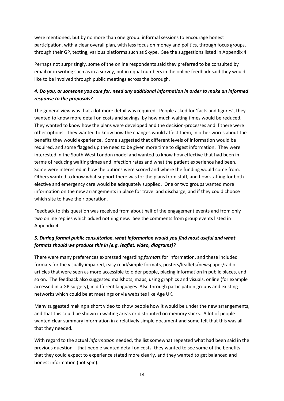were mentioned, but by no more than one group: informal sessions to encourage honest participation, with a clear overall plan, with less focus on money and politics, through focus groups, through their GP, texting, various platforms such as Skype. See the suggestions listed in Appendix 4.

Perhaps not surprisingly, some of the online respondents said they preferred to be consulted by email or in writing such as in a survey, but in equal numbers in the online feedback said they would like to be involved through public meetings across the borough.

## *4. Do you, or someone you care for, need any additional information in order to make an informed response to the proposals?*

The general view was that a lot more detail was required. People asked for 'facts and figures', they wanted to know more detail on costs and savings, by how much waiting times would be reduced. They wanted to know how the plans were developed and the decision-processes and if there were other options. They wanted to know how the changes would affect them, in other words about the benefits they would experience. Some suggested that different levels of information would be required, and some flagged up the need to be given more time to digest information. They were interested in the South West London model and wanted to know how effective that had been in terms of reducing waiting times and infection rates and what the patient experience had been. Some were interested in how the options were scored and where the funding would come from. Others wanted to know what support there was for the plans from staff, and how staffing for both elective and emergency care would be adequately supplied. One or two groups wanted more information on the new arrangements in place for travel and discharge, and if they could choose which site to have their operation.

Feedback to this question was received from about half of the engagement events and from only two online replies which added nothing new. See the comments from group events listed in Appendix 4.

## *5. During formal public consultation, what information would you find most useful and what formats should we produce this in (e.g. leaflet, video, diagrams)?*

There were many preferences expressed regarding *format*s for information, and these included formats for the visually impaired, easy read/simple formats, posters/leaflets/newspaper/radio articles that were seen as more accessible to older people, placing information in public places, and so on. The feedback also suggested mailshots, maps, using graphics and visuals, online (for example accessed in a GP surgery), in different languages. Also through participation groups and existing networks which could be at meetings or via websites like Age UK.

Many suggested making a short video to show people how it would be under the new arrangements, and that this could be shown in waiting areas or distributed on memory sticks. A lot of people wanted clear summary information in a relatively simple document and some felt that this was all that they needed.

With regard to the actual *information* needed, the list somewhat repeated what had been said in the previous question – that people wanted detail on costs, they wanted to see some of the benefits that they could expect to experience stated more clearly, and they wanted to get balanced and honest information (not spin).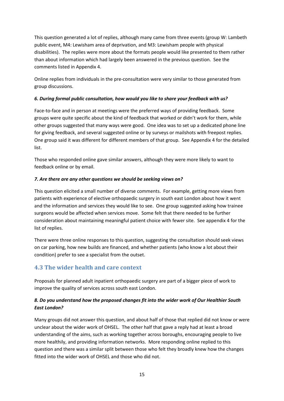This question generated a lot of replies, although many came from three events (group W: Lambeth public event, M4: Lewisham area of deprivation, and M3: Lewisham people with physical disabilities). The replies were more about the formats people would like presented to them rather than about information which had largely been answered in the previous question. See the comments listed in Appendix 4.

Online replies from individuals in the pre-consultation were very similar to those generated from group discussions.

### *6. During formal public consultation, how would you like to share your feedback with us?*

Face-to-face and in person at meetings were the preferred ways of providing feedback. Some groups were quite specific about the kind of feedback that worked or didn't work for them, while other groups suggested that many ways were good. One idea was to set up a dedicated phone line for giving feedback, and several suggested online or by surveys or mailshots with freepost replies. One group said it was different for different members of that group. See Appendix 4 for the detailed list.

Those who responded online gave similar answers, although they were more likely to want to feedback online or by email.

#### *7. Are there are any other questions we should be seeking views on?*

This question elicited a small number of diverse comments. For example, getting more views from patients with experience of elective orthopaedic surgery in south east London about how it went and the information and services they would like to see. One group suggested asking how trainee surgeons would be affected when services move. Some felt that there needed to be further consideration about maintaining meaningful patient choice with fewer site. See appendix 4 for the list of replies.

There were three online responses to this question, suggesting the consultation should seek views on car parking, how new builds are financed, and whether patients (who know a lot about their condition) prefer to see a specialist from the outset.

## <span id="page-14-0"></span>**4.3 The wider health and care context**

Proposals for planned adult inpatient orthopaedic surgery are part of a bigger piece of work to improve the quality of services across south east London.

## *8. Do you understand how the proposed changes fit into the wider work of Our Healthier South East London?*

Many groups did not answer this question, and about half of those that replied did not know or were unclear about the wider work of OHSEL. The other half that gave a reply had at least a broad understanding of the aims, such as working together across boroughs, encouraging people to live more healthily, and providing information networks. More responding online replied to this question and there was a similar split between those who felt they broadly knew how the changes fitted into the wider work of OHSEL and those who did not.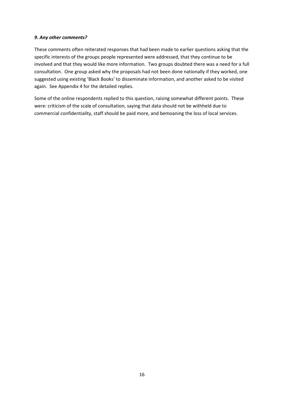#### *9. Any other comments?*

These comments often reiterated responses that had been made to earlier questions asking that the specific interests of the groups people represented were addressed, that they continue to be involved and that they would like more information. Two groups doubted there was a need for a full consultation. One group asked why the proposals had not been done nationally if they worked, one suggested using existing 'Black Books' to disseminate information, and another asked to be visited again. See Appendix 4 for the detailed replies.

Some of the online respondents replied to this question, raising somewhat different points. These were: criticism of the scale of consultation, saying that data should not be withheld due to commercial confidentiality, staff should be paid more, and bemoaning the loss of local services.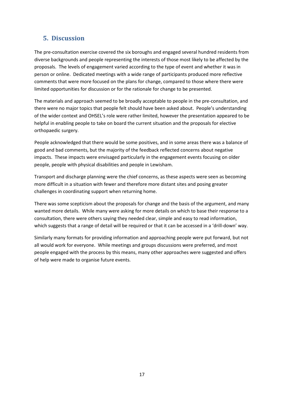# <span id="page-16-0"></span>**5. Discussion**

The pre-consultation exercise covered the six boroughs and engaged several hundred residents from diverse backgrounds and people representing the interests of those most likely to be affected by the proposals. The levels of engagement varied according to the type of event and whether it was in person or online. Dedicated meetings with a wide range of participants produced more reflective comments that were more focused on the plans for change, compared to those where there were limited opportunities for discussion or for the rationale for change to be presented.

The materials and approach seemed to be broadly acceptable to people in the pre-consultation, and there were no major topics that people felt should have been asked about. People's understanding of the wider context and OHSEL's role were rather limited, however the presentation appeared to be helpful in enabling people to take on board the current situation and the proposals for elective orthopaedic surgery.

People acknowledged that there would be some positives, and in some areas there was a balance of good and bad comments, but the majority of the feedback reflected concerns about negative impacts. These impacts were envisaged particularly in the engagement events focusing on older people, people with physical disabilities and people in Lewisham.

Transport and discharge planning were the chief concerns, as these aspects were seen as becoming more difficult in a situation with fewer and therefore more distant sites and posing greater challenges in coordinating support when returning home.

There was some scepticism about the proposals for change and the basis of the argument, and many wanted more details. While many were asking for more details on which to base their response to a consultation, there were others saying they needed clear, simple and easy to read information, which suggests that a range of detail will be required or that it can be accessed in a 'drill-down' way.

Similarly many formats for providing information and approaching people were put forward, but not all would work for everyone. While meetings and groups discussions were preferred, and most people engaged with the process by this means, many other approaches were suggested and offers of help were made to organise future events.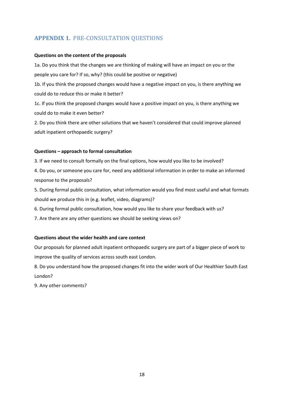# <span id="page-17-0"></span>**APPENDIX 1.** PRE-CONSULTATION QUESTIONS

#### **Questions on the content of the proposals**

1a. Do you think that the changes we are thinking of making will have an impact on you or the people you care for? If so, why? (this could be positive or negative)

1b. If you think the proposed changes would have a negative impact on you, is there anything we could do to reduce this or make it better?

1c. If you think the proposed changes would have a positive impact on you, is there anything we could do to make it even better?

2. Do you think there are other solutions that we haven't considered that could improve planned adult inpatient orthopaedic surgery?

#### **Questions – approach to formal consultation**

3. If we need to consult formally on the final options, how would you like to be involved?

4. Do you, or someone you care for, need any additional information in order to make an informed response to the proposals?

5. During formal public consultation, what information would you find most useful and what formats should we produce this in (e.g. leaflet, video, diagrams)?

6. During formal public consultation, how would you like to share your feedback with us?

7. Are there are any other questions we should be seeking views on?

#### **Questions about the wider health and care context**

Our proposals for planned adult inpatient orthopaedic surgery are part of a bigger piece of work to improve the quality of services across south east London.

8. Do you understand how the proposed changes fit into the wider work of Our Healthier South East London?

9. Any other comments?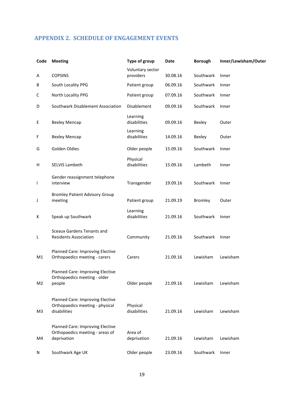# <span id="page-18-0"></span>**APPENDIX 2. SCHEDULE OF ENGAGEMENT EVENTS**

| Code           | <b>Meeting</b>                                                                      | Type of group                 | <b>Date</b> | <b>Borough</b> | Inner/Lewisham/Outer |
|----------------|-------------------------------------------------------------------------------------|-------------------------------|-------------|----------------|----------------------|
| A              | <b>COPSINS</b>                                                                      | Voluntary sector<br>providers | 30.08.16    | Southwark      | Inner                |
| В              | South Locality PPG                                                                  | Patient group                 | 06.09.16    | Southwark      | Inner                |
| C              | North Locality PPG                                                                  | Patient group                 | 07.09.16    | Southwark      | Inner                |
| D              | Southwark Disablement Association                                                   | Disablement                   | 09.09.16    | Southwark      | Inner                |
| E              | <b>Bexley Mencap</b>                                                                | Learning<br>disabilities      | 09.09.16    | Bexley         | Outer                |
| F              | <b>Bexley Mencap</b>                                                                | Learning<br>disabilities      | 14.09.16    | Bexley         | Outer                |
| G              | Golden Oldies                                                                       | Older people                  | 15.09.16    | Southwark      | Inner                |
| н              | SELVIS Lambeth                                                                      | Physical<br>disabilities      | 15.09.16    | Lambeth        | Inner                |
| I              | Gender reassignment telephone<br>interview                                          | Transgender                   | 19.09.16    | Southwark      | Inner                |
| J              | <b>Bromley Patient Advisory Group</b><br>meeting                                    | Patient group                 | 21.09.19    | <b>Bromley</b> | Outer                |
| К              | Speak up Southwark                                                                  | Learning<br>disabilities      | 21.09.16    | Southwark      | Inner                |
| L              | <b>Sceaux Gardens Tenants and</b><br><b>Residents Association</b>                   | Community                     | 21.09.16    | Southwark      | Inner                |
| M1             | Planned Care: Improving Elective<br>Orthopaedics meeting - carers                   | Carers                        | 21.09.16    | Lewisham       | Lewisham             |
| M <sub>2</sub> | Planned Care: Improving Elective<br>Orthopaedics meeting - older<br>people          | Older people                  | 21.09.16    | Lewisham       | Lewisham             |
| M <sub>3</sub> | Planned Care: Improving Elective<br>Orthopaedics meeting - physical<br>disabilities | Physical<br>disabilities      | 21.09.16    | Lewisham       | Lewisham             |
| M4             | Planned Care: Improving Elective<br>Orthopaedics meeting - areas of<br>deprivation  | Area of<br>deprivation        | 21.09.16    | Lewisham       | Lewisham             |
| N              | Southwark Age UK                                                                    | Older people                  | 23.09.16    | Southwark      | Inner                |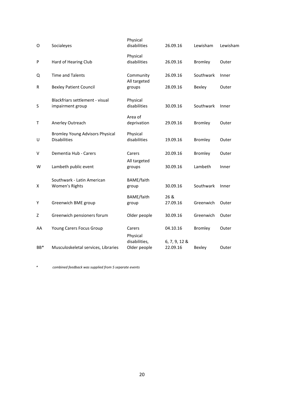| O      | Socialeyes                                                    | Physical<br>disabilities      | 26.09.16                  | Lewisham       | Lewisham |
|--------|---------------------------------------------------------------|-------------------------------|---------------------------|----------------|----------|
| P      | Hard of Hearing Club                                          | Physical<br>disabilities      | 26.09.16                  | <b>Bromley</b> | Outer    |
| Q      | <b>Time and Talents</b>                                       | Community<br>All targeted     | 26.09.16                  | Southwark      | Inner    |
| R      | <b>Bexley Patient Council</b>                                 | groups                        | 28.09.16                  | Bexley         | Outer    |
| S      | Blackfriars settlement - visual<br>impairment group           | Physical<br>disabilities      | 30.09.16                  | Southwark      | Inner    |
| Τ      | Anerley Outreach                                              | Area of<br>deprivation        | 29.09.16                  | <b>Bromley</b> | Outer    |
| U      | <b>Bromley Young Advisors Physical</b><br><b>Disabilities</b> | Physical<br>disabilities      | 19.09.16                  | <b>Bromley</b> | Outer    |
| $\vee$ | Dementia Hub - Carers                                         | Carers                        | 20.09.16                  | <b>Bromley</b> | Outer    |
| W      | Lambeth public event                                          | All targeted<br>groups        | 30.09.16                  | Lambeth        | Inner    |
| х      | Southwark - Latin American<br>Women's Rights                  | BAME/faith<br>group           | 30.09.16                  | Southwark      | Inner    |
| Y      | Greenwich BME group                                           | BAME/faith<br>group           | 26 &<br>27.09.16          | Greenwich      | Outer    |
| Z      | Greenwich pensioners forum                                    | Older people                  | 30.09.16                  | Greenwich      | Outer    |
| AA     | Young Carers Focus Group                                      | Carers<br>Physical            | 04.10.16                  | <b>Bromley</b> | Outer    |
| BB*    | Musculoskeletal services, Libraries                           | disabilities,<br>Older people | 6, 7, 9, 12 &<br>22.09.16 | Bexley         | Outer    |

 *\* combined feedback was supplied from 5 separate events*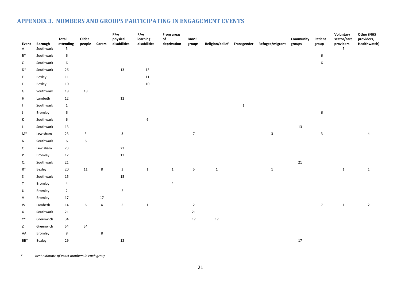# **APPENDIX 3. NUMBERS AND GROUPS PARTICIPATING IN ENGAGEMENT EVENTS**

<span id="page-20-0"></span>

| Event<br>$\mathsf{A}$     | Borough<br>Southwark | <b>Total</b><br>attending<br>$5\phantom{.0}$ | Older<br>people         | <b>Carers</b>  | P/w<br>physical<br>disabilities | P/w<br>learning<br>disabilities | From areas<br>$\mathsf{of}$<br>deprivation | <b>BAME</b><br>groups | Religion/belief Transgender |             | Refugee/migrant | Community<br>groups | Patient<br>group | Voluntary<br>sector/care<br>providers<br>5 | Other (NHS<br>providers,<br>Healthwatch) |
|---------------------------|----------------------|----------------------------------------------|-------------------------|----------------|---------------------------------|---------------------------------|--------------------------------------------|-----------------------|-----------------------------|-------------|-----------------|---------------------|------------------|--------------------------------------------|------------------------------------------|
| $B^*$                     | Southwark            | 6                                            |                         |                |                                 |                                 |                                            |                       |                             |             |                 |                     | 6                |                                            |                                          |
| $\mathsf{C}$              | Southwark            | 6                                            |                         |                |                                 |                                 |                                            |                       |                             |             |                 |                     | $\boldsymbol{6}$ |                                            |                                          |
| D <sup>*</sup>            | Southwark            | $26\,$                                       |                         |                | 13                              | $13\,$                          |                                            |                       |                             |             |                 |                     |                  |                                            |                                          |
| E                         | Bexley               | 11                                           |                         |                |                                 | $11\,$                          |                                            |                       |                             |             |                 |                     |                  |                                            |                                          |
| F                         | Bexley               | $10\,$                                       |                         |                |                                 | $10\,$                          |                                            |                       |                             |             |                 |                     |                  |                                            |                                          |
| G                         | Southwark            | $18\,$                                       | 18                      |                |                                 |                                 |                                            |                       |                             |             |                 |                     |                  |                                            |                                          |
| $\boldsymbol{\mathsf{H}}$ | Lambeth              | 12                                           |                         |                | $12\,$                          |                                 |                                            |                       |                             |             |                 |                     |                  |                                            |                                          |
| $\mathbf{I}$              | Southwark            | $\mathbf{1}$                                 |                         |                |                                 |                                 |                                            |                       |                             | $\mathbf 1$ |                 |                     |                  |                                            |                                          |
| $\mathsf J$               | Bromley              | $\,6\,$                                      |                         |                |                                 |                                 |                                            |                       |                             |             |                 |                     | $\,$ 6 $\,$      |                                            |                                          |
| К                         | Southwark            | 6                                            |                         |                |                                 | $\boldsymbol{6}$                |                                            |                       |                             |             |                 |                     |                  |                                            |                                          |
| L                         | Southwark            | 13                                           |                         |                |                                 |                                 |                                            |                       |                             |             |                 | 13                  |                  |                                            |                                          |
| $M^*$                     | Lewisham             | 23                                           | $\overline{\mathbf{3}}$ |                | $\mathbf{3}$                    |                                 |                                            | $\sqrt{7}$            |                             |             | $\mathbf{3}$    |                     | $\mathbf{3}$     |                                            | 4                                        |
| N                         | Southwark            | $\,6\,$                                      | $\boldsymbol{6}$        |                |                                 |                                 |                                            |                       |                             |             |                 |                     |                  |                                            |                                          |
| $\mathsf O$               | Lewisham             | 23                                           |                         |                | 23                              |                                 |                                            |                       |                             |             |                 |                     |                  |                                            |                                          |
| $\sf P$                   | Bromley              | 12                                           |                         |                | $12\,$                          |                                 |                                            |                       |                             |             |                 |                     |                  |                                            |                                          |
| Q                         | Southwark            | 21                                           |                         |                |                                 |                                 |                                            |                       |                             |             |                 | $21\,$              |                  |                                            |                                          |
| $R^*$                     | Bexley               | $20\,$                                       | 11                      | 8              | $\mathbf{3}$                    | $\mathbf{1}$                    | $\mathbf{1}$                               | $5\phantom{.0}$       | $\mathbf{1}$                |             | $\mathbf{1}$    |                     |                  | $\mathbf 1$                                | $\mathbf{1}$                             |
| S                         | Southwark            | 15                                           |                         |                | 15                              |                                 |                                            |                       |                             |             |                 |                     |                  |                                            |                                          |
| $\mathsf T$               | Bromley              | $\overline{4}$                               |                         |                |                                 |                                 | $\overline{4}$                             |                       |                             |             |                 |                     |                  |                                            |                                          |
| U                         | Bromley              | $\overline{2}$                               |                         |                | $\overline{2}$                  |                                 |                                            |                       |                             |             |                 |                     |                  |                                            |                                          |
| ${\sf V}$                 | Bromley              | 17                                           |                         | $17\,$         |                                 |                                 |                                            |                       |                             |             |                 |                     |                  |                                            |                                          |
| W                         | Lambeth              | 14                                           | 6                       | $\overline{a}$ | 5                               | $\mathbf{1}$                    |                                            | $\overline{2}$        |                             |             |                 |                     | 7 <sup>7</sup>   | $\mathbf{1}$                               | $\overline{2}$                           |
| X                         | Southwark            | 21                                           |                         |                |                                 |                                 |                                            | 21                    |                             |             |                 |                     |                  |                                            |                                          |
| Y*                        | Greenwich            | $34\,$                                       |                         |                |                                 |                                 |                                            | $17\,$                | 17                          |             |                 |                     |                  |                                            |                                          |
| Z                         | Greenwich            | 54                                           | 54                      |                |                                 |                                 |                                            |                       |                             |             |                 |                     |                  |                                            |                                          |
| AA                        | Bromley              | 8                                            |                         | $\bf 8$        |                                 |                                 |                                            |                       |                             |             |                 |                     |                  |                                            |                                          |
| BB*                       | Bexley               | 29                                           |                         |                | $12\,$                          |                                 |                                            |                       |                             |             |                 | $17\,$              |                  |                                            |                                          |

 *\* best estimate of exact numbers in each group*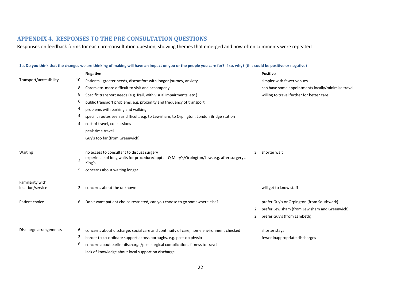# **APPENDIX 4. RESPONSES TO THE PRE-CONSULTATION QUESTIONS**

Responses on feedback forms for each pre-consultation question, showing themes that emerged and how often comments were repeated

#### **1a. Do you think that the changes we are thinking of making will have an impact on you or the people you care for? If so, why? (this could be positive or negative)**

<span id="page-21-0"></span>

|                                      |    | <b>Negative</b>                                                                                        |   | <b>Positive</b>                                    |
|--------------------------------------|----|--------------------------------------------------------------------------------------------------------|---|----------------------------------------------------|
| Transport/accessibility              | 10 | Patients - greater needs, discomfort with longer journey, anxiety                                      |   | simpler with fewer venues                          |
|                                      | 8  | Carers etc. more difficult to visit and accompany                                                      |   | can have some appointments locally/minimise travel |
|                                      | 8  | Specific transport needs (e.g. frail, with visual impairments, etc.)                                   |   | willing to travel further for better care          |
|                                      | 6  | public transport problems, e.g. proximity and frequency of transport                                   |   |                                                    |
|                                      | 4  | problems with parking and walking                                                                      |   |                                                    |
|                                      | 4  | specific routes seen as difficult, e.g. to Lewisham, to Orpington, London Bridge station               |   |                                                    |
|                                      | 4  | cost of travel, concessions                                                                            |   |                                                    |
|                                      |    | peak time travel                                                                                       |   |                                                    |
|                                      |    | Guy's too far (from Greenwich)                                                                         |   |                                                    |
|                                      |    |                                                                                                        |   |                                                    |
| Waiting                              |    | no access to consultant to discuss surgery                                                             | 3 | shorter wait                                       |
|                                      | 3  | experience of long waits for procedure/appt at Q Mary's/Orpington/Lew, e.g. after surgery at<br>King's |   |                                                    |
|                                      | 5  | concerns about waiting longer                                                                          |   |                                                    |
|                                      |    |                                                                                                        |   |                                                    |
| Familiarity with<br>location/service | 2  | concerns about the unknown                                                                             |   | will get to know staff                             |
|                                      |    |                                                                                                        |   |                                                    |
| Patient choice                       | 6  | Don't want patient choice restricted, can you choose to go somewhere else?                             |   | prefer Guy's or Orpington (from Southwark)         |
|                                      |    |                                                                                                        | 2 | prefer Lewisham (from Lewisham and Greenwich)      |
|                                      |    |                                                                                                        | 2 | prefer Guy's (from Lambeth)                        |
|                                      |    |                                                                                                        |   |                                                    |
| Discharge arrangements               | 6  | concerns about discharge, social care and continuity of care, home environment checked                 |   | shorter stays                                      |
|                                      | 2  | harder to co-ordinate support across boroughs, e.g. post-op physio                                     |   | fewer inappropriate discharges                     |
|                                      | 6  | concern about earlier discharge/post surgical complications fitness to travel                          |   |                                                    |
|                                      |    | lack of knowledge about local support on discharge                                                     |   |                                                    |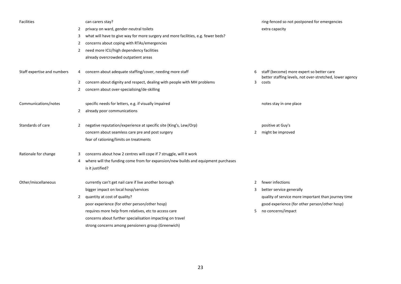| Facilities                  |              | can carers stay?                                                                  |                | ring-fenced so not postponed for emergencies                                                          |
|-----------------------------|--------------|-----------------------------------------------------------------------------------|----------------|-------------------------------------------------------------------------------------------------------|
|                             | 2            | privacy on ward, gender-neutral toilets                                           |                | extra capacity                                                                                        |
|                             | 3            | what will have to give way for more surgery and more facilities, e.g. fewer beds? |                |                                                                                                       |
|                             | 2            | concerns about coping with RTAs/emergencies                                       |                |                                                                                                       |
|                             | 2            | need more ICU/high dependency facilities                                          |                |                                                                                                       |
|                             |              | already overcrowded outpatient areas                                              |                |                                                                                                       |
| Staff expertise and numbers | 4            | concern about adequate staffing/cover, needing more staff                         | 6              | staff (become) more expert so better care<br>better staffing levels, not over-stretched, lower agency |
|                             | 2            | concern about dignity and respect, dealing with people with MH problems           | 3              | costs                                                                                                 |
|                             | 2            | concern about over-specialising/de-skilling                                       |                |                                                                                                       |
| Communications/notes        |              | specific needs for letters, e.g. if visually impaired                             |                | notes stay in one place                                                                               |
|                             | 2            | already poor communications                                                       |                |                                                                                                       |
| Standards of care           | 2            | negative reputation/experience at specific site (King's, Lew/Orp)                 |                | positive at Guy's                                                                                     |
|                             |              | concern about seamless care pre and post surgery                                  | $\overline{2}$ | might be improved                                                                                     |
|                             |              | fear of rationing/limits on treatments                                            |                |                                                                                                       |
| Rationale for change        | 3            | concerns about how 2 centres will cope if 7 struggle, will it work                |                |                                                                                                       |
|                             | 4            | where will the funding come from for expansion/new builds and equipment purchases |                |                                                                                                       |
|                             |              | is it justified?                                                                  |                |                                                                                                       |
| Other/miscellaneous         |              | currently can't get nail care if live another borough                             | $\overline{2}$ | fewer infections                                                                                      |
|                             |              |                                                                                   |                | better service generally                                                                              |
|                             |              | bigger impact on local hosp/services                                              | 3              |                                                                                                       |
|                             | $\mathbf{2}$ | quantity at cost of quality?                                                      |                | quality of service more important than journey time                                                   |
|                             |              | poor experience (for other person/other hosp)                                     |                | good experience (for other person/other hosp)                                                         |
|                             |              | requires more help from relatives, etc to access care                             | 5              | no concerns/impact                                                                                    |
|                             |              | concerns about further specialisation impacting on travel                         |                |                                                                                                       |
|                             |              | strong concerns among pensioners group (Greenwich)                                |                |                                                                                                       |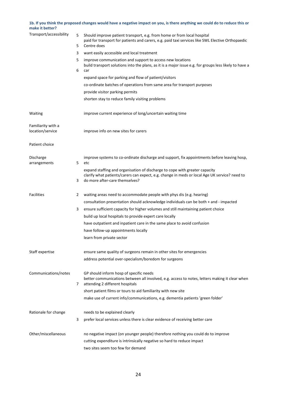# **1b. If you think the proposed changes would have a negative impact on you, is there anything we could do to reduce this or make it better?**

| Transport/accessibility                | 5<br>5 | Should improve patient transport, e.g. from home or from local hospital<br>paid for transport for patients and carers, e.g. paid taxi services like SWL Elective Orthopaedic<br>Centre does                    |
|----------------------------------------|--------|----------------------------------------------------------------------------------------------------------------------------------------------------------------------------------------------------------------|
|                                        | 3      | want easily accessible and local treatment                                                                                                                                                                     |
|                                        | 5      | improve communication and support to access new locations<br>build transport solutions into the plans, as it is a major issue e.g. for groups less likely to have a                                            |
|                                        | 6      | car                                                                                                                                                                                                            |
|                                        |        | expand space for parking and flow of patient/visitors                                                                                                                                                          |
|                                        |        | co-ordinate batches of operations from same area for transport purposes                                                                                                                                        |
|                                        |        | provide visitor parking permits                                                                                                                                                                                |
|                                        |        | shorten stay to reduce family visiting problems                                                                                                                                                                |
| Waiting                                |        | improve current experience of long/uncertain waiting time                                                                                                                                                      |
| Familiarity with a<br>location/service |        | improve info on new sites for carers                                                                                                                                                                           |
| Patient choice                         |        |                                                                                                                                                                                                                |
| Discharge<br>arrangements              | 5      | improve systems to co-ordinate discharge and support, fix appointments before leaving hosp,<br>etc                                                                                                             |
|                                        | 3      | expand staffing and organisation of discharge to cope with greater capacity<br>clarify what patients/carers can expect, e.g. change in meds or local Age UK service? need to<br>do more after-care themselves? |
| <b>Facilities</b>                      | 2      | waiting areas need to accommodate people with phys dis (e.g. hearing)                                                                                                                                          |
|                                        |        | consultation presentation should acknowledge individuals can be both + and - impacted                                                                                                                          |
|                                        | 3      | ensure sufficient capacity for higher volumes and still maintaining patient choice                                                                                                                             |
|                                        |        | build up local hospitals to provide expert care locally                                                                                                                                                        |
|                                        |        | have outpatient and inpatient care in the same place to avoid confusion                                                                                                                                        |
|                                        |        | have follow-up appointments locally                                                                                                                                                                            |
|                                        |        | learn from private sector                                                                                                                                                                                      |
| Staff expertise                        |        | ensure same quality of surgeons remain in other sites for emergencies                                                                                                                                          |
|                                        |        | address potential over-specialism/boredom for surgeons                                                                                                                                                         |
| Communications/notes                   | 7      | GP should inform hosp of specific needs<br>better communications between all involved, e.g. access to notes, letters making it clear when<br>attending 2 different hospitals                                   |
|                                        |        | short patient films or tours to aid familiarity with new site                                                                                                                                                  |
|                                        |        | make use of current info/communications, e.g. dementia patients 'green folder'                                                                                                                                 |
| Rationale for change                   |        | needs to be explained clearly                                                                                                                                                                                  |
|                                        | 3      | prefer local services unless there is clear evidence of receiving better care                                                                                                                                  |
| Other/miscellaneous                    |        | no negative impact (on younger people) therefore nothing you could do to improve                                                                                                                               |
|                                        |        | cutting expenditure is intrinsically negative so hard to reduce impact                                                                                                                                         |
|                                        |        | two sites seem too few for demand                                                                                                                                                                              |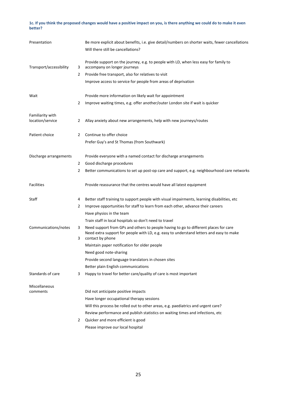#### **1c. If you think the proposed changes would have a positive impact on you, is there anything we could do to make it even better?**

| Presentation                         |        | Be more explicit about benefits, i.e. give detail/numbers on shorter waits, fewer cancellations<br>Will there still be cancellations?                                                               |
|--------------------------------------|--------|-----------------------------------------------------------------------------------------------------------------------------------------------------------------------------------------------------|
| Transport/accessibility              | 3      | Provide support on the journey, e.g. to people with LD, when less easy for family to<br>accompany on longer journeys                                                                                |
|                                      | 2      | Provide free transport, also for relatives to visit                                                                                                                                                 |
|                                      |        | Improve access to service for people from areas of deprivation                                                                                                                                      |
| Wait                                 |        | Provide more information on likely wait for appointment                                                                                                                                             |
|                                      | 2      | Improve waiting times, e.g. offer another/outer London site if wait is quicker                                                                                                                      |
| Familiarity with<br>location/service | 2      | Allay anxiety about new arrangements, help with new journeys/routes                                                                                                                                 |
| Patient choice                       | 2      | Continue to offer choice                                                                                                                                                                            |
|                                      |        | Prefer Guy's and St Thomas (from Southwark)                                                                                                                                                         |
| Discharge arrangements               |        | Provide everyone with a named contact for discharge arrangements                                                                                                                                    |
|                                      | 2      | Good discharge procedures                                                                                                                                                                           |
|                                      | 2      | Better communications to set up post-op care and support, e.g. neighbourhood care networks                                                                                                          |
| <b>Facilities</b>                    |        | Provide reassurance that the centres would have all latest equipment                                                                                                                                |
| Staff                                | 4      | Better staff training to support people with visual impairments, learning disabilities, etc                                                                                                         |
|                                      | 2      | Improve opportunities for staff to learn from each other, advance their careers                                                                                                                     |
|                                      |        | Have physios in the team                                                                                                                                                                            |
|                                      |        | Train staff in local hospitals so don't need to travel                                                                                                                                              |
| Communications/notes                 | 3<br>3 | Need support from GPs and others to people having to go to different places for care<br>Need extra support for people with LD, e.g. easy to understand letters and easy to make<br>contact by phone |
|                                      |        | Maintain paper notification for older people                                                                                                                                                        |
|                                      |        | Need good note-sharing                                                                                                                                                                              |
|                                      |        | Provide second language translators in chosen sites                                                                                                                                                 |
|                                      |        | Better plain English communications                                                                                                                                                                 |
| Standards of care                    | 3      | Happy to travel for better care/quality of care is most important                                                                                                                                   |
| Miscellaneous                        |        |                                                                                                                                                                                                     |
| comments                             |        | Did not anticipate positive impacts                                                                                                                                                                 |
|                                      |        | Have longer occupational therapy sessions                                                                                                                                                           |
|                                      |        | Will this process be rolled out to other areas, e.g. paediatrics and urgent care?                                                                                                                   |
|                                      |        | Review performance and publish statistics on waiting times and infections, etc                                                                                                                      |
|                                      | 2      | Quicker and more efficient is good                                                                                                                                                                  |
|                                      |        | Please improve our local hospital                                                                                                                                                                   |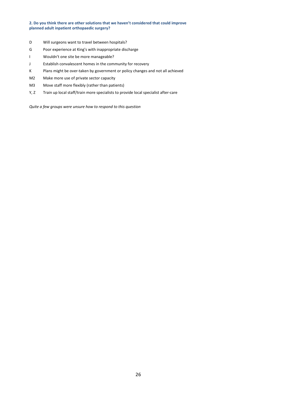#### **2. Do you think there are other solutions that we haven't considered that could improve planned adult inpatient orthopaedic surgery?**

- D Will surgeons want to travel between hospitals?
- G Poor experience at King's with inappropriate discharge
- I Wouldn't one site be more manageable?
- J Establish convalescent homes in the community for recovery
- K Plans might be over-taken by government or policy changes and not all achieved
- M2 Make more use of private sector capacity
- M3 Move staff more flexibly (rather than patients)
- Y, Z Train up local staff/train more specialists to provide local specialist after-care

*Quite a few groups were unsure how to respond to this question*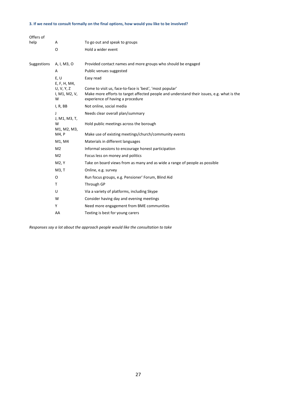#### **3. If we need to consult formally on the final options, how would you like to be involved?**

| Offers of   |                                  |                                                                                                                                                                                           |
|-------------|----------------------------------|-------------------------------------------------------------------------------------------------------------------------------------------------------------------------------------------|
| help        | Α                                | To go out and speak to groups                                                                                                                                                             |
|             | O                                | Hold a wider event                                                                                                                                                                        |
|             |                                  |                                                                                                                                                                                           |
| Suggestions | A, I, M3, O                      | Provided contact names and more groups who should be engaged                                                                                                                              |
|             | A                                | Public venues suggested                                                                                                                                                                   |
|             | E, U<br>E, F, H, M4,             | Easy read                                                                                                                                                                                 |
|             | U, V, Y, Z<br>I, M1, M2, V,<br>W | Come to visit us, face-to-face is 'best', 'most popular'<br>Make more efforts to target affected people and understand their issues, e.g. what is the<br>experience of having a procedure |
|             | I, R, BB                         | Not online, social media                                                                                                                                                                  |
|             | J<br>J, M1, M3, T,               | Needs clear overall plan/summary                                                                                                                                                          |
|             | W<br>M1, M2, M3,                 | Hold public meetings across the borough                                                                                                                                                   |
|             | M4, P                            | Make use of existing meetings/church/community events                                                                                                                                     |
|             | M1, M4                           | Materials in different languages                                                                                                                                                          |
|             | M <sub>2</sub>                   | Informal sessions to encourage honest participation                                                                                                                                       |
|             | M <sub>2</sub>                   | Focus less on money and politics                                                                                                                                                          |
|             | M2, Y                            | Take on board views from as many and as wide a range of people as possible                                                                                                                |
|             | M3, T                            | Online, e.g. survey                                                                                                                                                                       |
|             | O                                | Run focus groups, e.g. Pensioner' Forum, Blind Aid                                                                                                                                        |
|             | T                                | Through GP                                                                                                                                                                                |
|             | U                                | Via a variety of platforms, including Skype                                                                                                                                               |
|             | W                                | Consider having day and evening meetings                                                                                                                                                  |
|             | Y                                | Need more engagement from BME communities                                                                                                                                                 |
|             | AA                               | Texting is best for young carers                                                                                                                                                          |

*Responses say a lot about the approach people would like the consultation to take*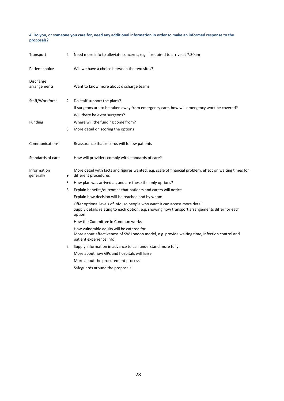**4. Do you, or someone you care for, need any additional information in order to make an informed response to the proposals?** 

| Transport                 | 2 | Need more info to alleviate concerns, e.g. if required to arrive at 7.30am                                                                                                               |
|---------------------------|---|------------------------------------------------------------------------------------------------------------------------------------------------------------------------------------------|
| Patient choice            |   | Will we have a choice between the two sites?                                                                                                                                             |
| Discharge<br>arrangements |   | Want to know more about discharge teams                                                                                                                                                  |
| Staff/Workforce           | 2 | Do staff support the plans?                                                                                                                                                              |
|                           |   | If surgeons are to be taken away from emergency care, how will emergency work be covered?                                                                                                |
|                           |   | Will there be extra surgeons?                                                                                                                                                            |
| Funding                   |   | Where will the funding come from?                                                                                                                                                        |
|                           | 3 | More detail on scoring the options                                                                                                                                                       |
| Communications            |   | Reassurance that records will follow patients                                                                                                                                            |
| Standards of care         |   | How will providers comply with standards of care?                                                                                                                                        |
| Information<br>generally  | 9 | More detail with facts and figures wanted, e.g. scale of financial problem, effect on waiting times for<br>different procedures                                                          |
|                           | 3 | How plan was arrived at, and are these the only options?                                                                                                                                 |
|                           | 3 | Explain benefits/outcomes that patients and carers will notice                                                                                                                           |
|                           |   | Explain how decision will be reached and by whom                                                                                                                                         |
|                           |   | Offer optional levels of info, so people who want it can access more detail<br>Supply details relating to each option, e.g. showing how transport arrangements differ for each<br>option |
|                           |   | How the Committee in Common works                                                                                                                                                        |
|                           |   | How vulnerable adults will be catered for<br>More about effectiveness of SW London model, e.g. provide waiting time, infection control and<br>patient experience info                    |
|                           | 2 | Supply information in advance to can understand more fully                                                                                                                               |
|                           |   | More about how GPs and hospitals will liaise                                                                                                                                             |
|                           |   | More about the procurement process                                                                                                                                                       |
|                           |   | Safeguards around the proposals                                                                                                                                                          |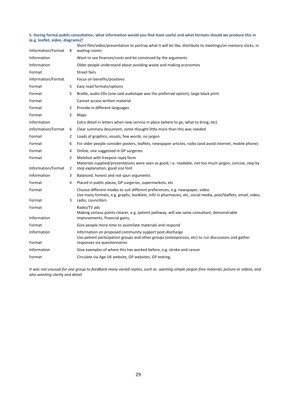#### **5. During formal public consultation, what information would you find most useful and what formats should we produce this in (e.g. leaflet, video, diagrams)?**

| Information/Format | 8              | Short film/video/presentation to portray what it will be like, distribute to meetings/on memory sticks, in<br>waiting rooms                                                                 |
|--------------------|----------------|---------------------------------------------------------------------------------------------------------------------------------------------------------------------------------------------|
| Information        |                | Want to see finances/costs and be convinced by the arguments                                                                                                                                |
| Information        |                | Older people understand about avoiding waste and making economies                                                                                                                           |
| Format             |                | <b>Street fairs</b>                                                                                                                                                                         |
| Information/Format |                | Focus on benefits/positives                                                                                                                                                                 |
| Format             | 5              | Easy read formats/options                                                                                                                                                                   |
| Format             | 5              | Braille, audio CDs (one said audiotape was the preferred option), large black print                                                                                                         |
| Format             |                | Cannot access written material                                                                                                                                                              |
| Format             | 2              | Provide in different languages                                                                                                                                                              |
| Format             | $\overline{2}$ | Maps                                                                                                                                                                                        |
| Information        |                |                                                                                                                                                                                             |
|                    |                | Extra detail in letters when new service in place (where to go, what to bring, etc)                                                                                                         |
| Information/Format | 6              | Clear summary document, some thought little more than this was needed                                                                                                                       |
| Format             | 2              | Loads of graphics, visuals, few words, no jargon                                                                                                                                            |
| Format             | 6              | For older people consider posters, leaflets, newspaper articles, radio (and avoid internet, mobile phone)                                                                                   |
| Format             | 4              | Online, one suggested in GP surgeries                                                                                                                                                       |
| Format             | $\overline{2}$ | Mailshot with freepost reply form<br>Materials supplied/presentations were seen as good, i.e. readable, not too much jargon, concise, step by                                               |
| Information/Format | 2              | step explanation, good size font                                                                                                                                                            |
| Information        | 3              | Balanced, honest and not spun arguments                                                                                                                                                     |
| Format             | 4              | Placed in public places, GP surgeries, supermarkets, etc                                                                                                                                    |
| Format             |                | Choose different modes to suit different preferences, e.g. newspaper, video<br>Use many formats, e.g. graphs, booklets, info in pharmacies, etc, social media, post/leaflets, email, video, |
| Format             | 3              | radio, councillors                                                                                                                                                                          |
| Format             |                | Radio/TV ads<br>Making various points clearer, e.g. patient pathway, will see same consultant, demonstrable                                                                                 |
| Information        |                | improvements, financial gains,                                                                                                                                                              |
| Format             |                | Give people more time to assimilate materials and respond                                                                                                                                   |
| Information        |                | Information on proposed community support post-discharge<br>Use patient participation groups and other groups (osteoporosis, etc) to run discussions and gather                             |
| Format             |                | responses via questionnaires                                                                                                                                                                |
| Information        |                | Give examples of where this has worked before, e.g. stroke and cancer                                                                                                                       |
| Format             |                | Circulate via Age UK website, GP websites, GP texting,                                                                                                                                      |

*It was not unusual for one group to feedback many varied replies, such as wanting simple jargon-free material, picture or videos, and also wanting clarity and detail*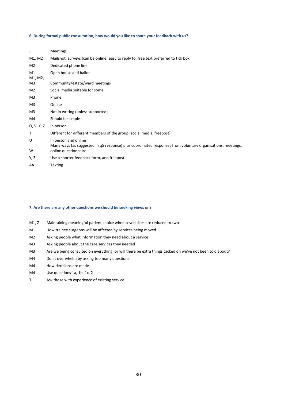#### **6. During formal public consultation, how would you like to share your feedback with us?**

| J             | <b>Meetings</b>                                                                                                                    |
|---------------|------------------------------------------------------------------------------------------------------------------------------------|
| M1, M2        | Mailshot, surveys (can be online) easy to reply to, free text preferred to tick box                                                |
| M2            | Dedicated phone line                                                                                                               |
| M1<br>M1, M2, | Open house and ballot                                                                                                              |
| M3            | Community/estate/ward meetings                                                                                                     |
| M2            | Social media suitable for some                                                                                                     |
| M3            | Phone                                                                                                                              |
| M3            | Online                                                                                                                             |
| M3            | Not in writing (unless supported)                                                                                                  |
| M4            | Should be simple                                                                                                                   |
| 0, V, Y, Z    | In person                                                                                                                          |
| Τ             | Different for different members of the group (social media, freepost)                                                              |
| U             | In person and online<br>Many ways (as suggested in q5 response) plus coordinated responses from voluntary organisations, meetings, |
| W             | online questionnaire                                                                                                               |
| Y, Z          | Use a shorter feedback form, and freepost                                                                                          |
| AA            | <b>Texting</b>                                                                                                                     |

#### **7. Are there are any other questions we should be seeking views on?**

- M1, Z Maintaining meaningful patient choice when seven sites are reduced to two
- M1 How trainee surgeons will be affected by services being moved
- M2 Asking people what information they need about a service
- M3 Asking people about the care services they needed
- M3 Are we being consulted on everything, or will there be extra things tacked on we've not been told about?
- M4 Don't overwhelm by asking too many questions
- M4 How decisions are made
- M4 Use questions 1a, 1b, 1c, 2
- T Ask those with experience of existing service